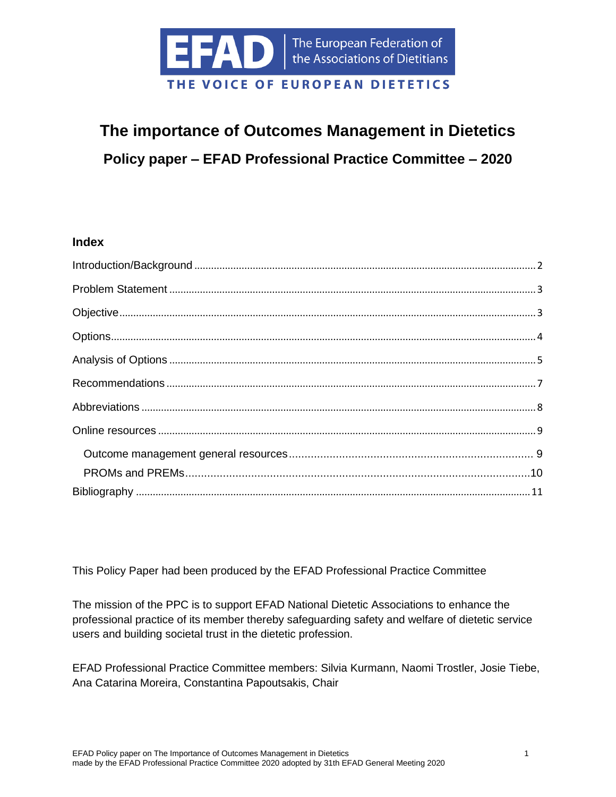

# **The importance of Outcomes Management in Dietetics Policy paper – EFAD Professional Practice Committee – 2020**

### **Index**

This Policy Paper had been produced by the EFAD Professional Practice Committee

The mission of the PPC is to support EFAD National Dietetic Associations to enhance the professional practice of its member thereby safeguarding safety and welfare of dietetic service users and building societal trust in the dietetic profession.

EFAD Professional Practice Committee members: Silvia Kurmann, Naomi Trostler, Josie Tiebe, Ana Catarina Moreira, Constantina Papoutsakis, Chair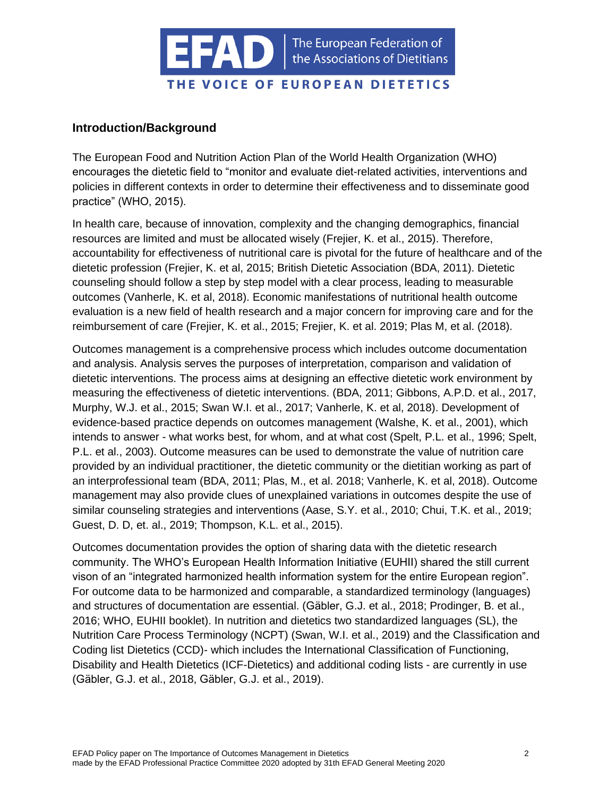

### <span id="page-1-0"></span>**Introduction/Background**

The European Food and Nutrition Action Plan of the World Health Organization (WHO) encourages the dietetic field to "monitor and evaluate diet-related activities, interventions and policies in different contexts in order to determine their effectiveness and to disseminate good practice" (WHO, 2015).

In health care, because of innovation, complexity and the changing demographics, financial resources are limited and must be allocated wisely (Frejier, K. et al., 2015). Therefore, accountability for effectiveness of nutritional care is pivotal for the future of healthcare and of the dietetic profession (Frejier, K. et al, 2015; British Dietetic Association (BDA, 2011). Dietetic counseling should follow a step by step model with a clear process, leading to measurable outcomes (Vanherle, K. et al, 2018). Economic manifestations of nutritional health outcome evaluation is a new field of health research and a major concern for improving care and for the reimbursement of care (Frejier, K. et al., 2015; Frejier, K. et al. 2019; Plas M, et al. (2018).

Outcomes management is a comprehensive process which includes outcome documentation and analysis. Analysis serves the purposes of interpretation, comparison and validation of dietetic interventions. The process aims at designing an effective dietetic work environment by measuring the effectiveness of dietetic interventions. (BDA, 2011; Gibbons, A.P.D. et al., 2017, Murphy, W.J. et al., 2015; Swan W.I. et al., 2017; Vanherle, K. et al, 2018). Development of evidence-based practice depends on outcomes management (Walshe, K. et al., 2001), which intends to answer - what works best, for whom, and at what cost (Spelt, P.L. et al., 1996; Spelt, P.L. et al., 2003). Outcome measures can be used to demonstrate the value of nutrition care provided by an individual practitioner, the dietetic community or the dietitian working as part of an interprofessional team (BDA, 2011; Plas, M., et al. 2018; Vanherle, K. et al, 2018). Outcome management may also provide clues of unexplained variations in outcomes despite the use of similar counseling strategies and interventions (Aase, S.Y. et al., 2010; Chui, T.K. et al., 2019; Guest, D. D, et. al., 2019; Thompson, K.L. et al., 2015).

Outcomes documentation provides the option of sharing data with the dietetic research community. The WHO's European Health Information Initiative (EUHII) shared the still current vison of an "integrated harmonized health information system for the entire European region". For outcome data to be harmonized and comparable, a standardized terminology (languages) and structures of documentation are essential. (Gäbler, G.J. et al., 2018; Prodinger, B. et al., 2016; WHO, EUHII booklet). In nutrition and dietetics two standardized languages (SL), the Nutrition Care Process Terminology (NCPT) (Swan, W.I. et al., 2019) and the Classification and Coding list Dietetics (CCD)- which includes the International Classification of Functioning, Disability and Health Dietetics (ICF-Dietetics) and additional coding lists - are currently in use (Gäbler, G.J. et al., 2018, Gäbler, G.J. et al., 2019).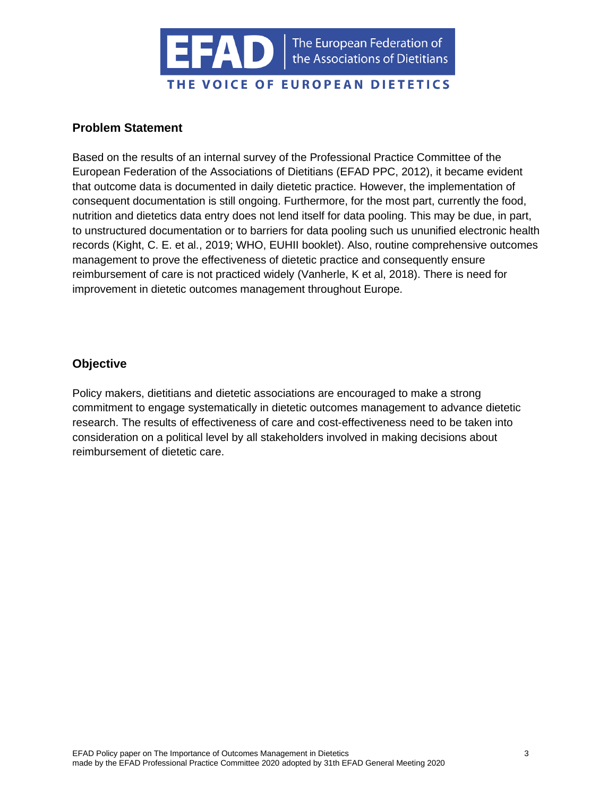

### <span id="page-2-0"></span>**Problem Statement**

Based on the results of an internal survey of the Professional Practice Committee of the European Federation of the Associations of Dietitians (EFAD PPC, 2012), it became evident that outcome data is documented in daily dietetic practice. However, the implementation of consequent documentation is still ongoing. Furthermore, for the most part, currently the food, nutrition and dietetics data entry does not lend itself for data pooling. This may be due, in part, to unstructured documentation or to barriers for data pooling such us ununified electronic health records (Kight, C. E. et al., 2019; WHO, EUHII booklet). Also, routine comprehensive outcomes management to prove the effectiveness of dietetic practice and consequently ensure reimbursement of care is not practiced widely (Vanherle, K et al, 2018). There is need for improvement in dietetic outcomes management throughout Europe.

### <span id="page-2-1"></span>**Objective**

Policy makers, dietitians and dietetic associations are encouraged to make a strong commitment to engage systematically in dietetic outcomes management to advance dietetic research. The results of effectiveness of care and cost-effectiveness need to be taken into consideration on a political level by all stakeholders involved in making decisions about reimbursement of dietetic care.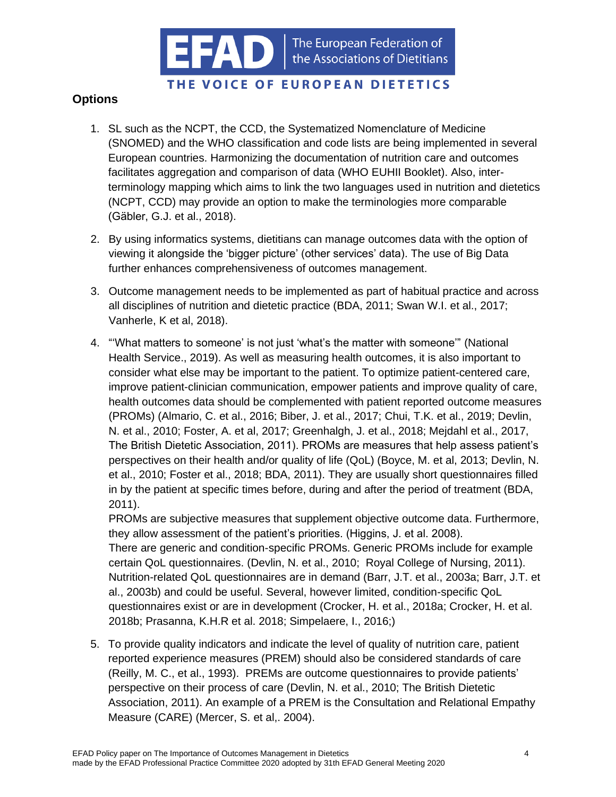

# THE VOICE OF EUROPEAN DIETETICS

# <span id="page-3-0"></span>**Options**

- 1. SL such as the NCPT, the CCD, the Systematized Nomenclature of Medicine (SNOMED) and the WHO classification and code lists are being implemented in several European countries. Harmonizing the documentation of nutrition care and outcomes facilitates aggregation and comparison of data (WHO EUHII Booklet). Also, interterminology mapping which aims to link the two languages used in nutrition and dietetics (NCPT, CCD) may provide an option to make the terminologies more comparable (Gäbler, G.J. et al., 2018).
- 2. By using informatics systems, dietitians can manage outcomes data with the option of viewing it alongside the 'bigger picture' (other services' data). The use of Big Data further enhances comprehensiveness of outcomes management.
- 3. Outcome management needs to be implemented as part of habitual practice and across all disciplines of nutrition and dietetic practice (BDA, 2011; Swan W.I. et al., 2017; Vanherle, K et al, 2018).
- 4. "'What matters to someone' is not just 'what's the matter with someone'" (National Health Service., 2019). As well as measuring health outcomes, it is also important to consider what else may be important to the patient. To optimize patient-centered care, improve patient-clinician communication, empower patients and improve quality of care, health outcomes data should be complemented with patient reported outcome measures (PROMs) (Almario, C. et al., 2016; Biber, J. et al., 2017; Chui, T.K. et al., 2019; Devlin, N. et al., 2010; Foster, A. et al, 2017; Greenhalgh, J. et al., 2018; Mejdahl et al., 2017, The British Dietetic Association, 2011). PROMs are measures that help assess patient's perspectives on their health and/or quality of life (QoL) (Boyce, M. et al, 2013; Devlin, N. et al., 2010; Foster et al., 2018; BDA, 2011). They are usually short questionnaires filled in by the patient at specific times before, during and after the period of treatment (BDA, 2011).

PROMs are subjective measures that supplement objective outcome data. Furthermore, they allow assessment of the patient's priorities. (Higgins, J. et al. 2008). There are generic and condition-specific PROMs. Generic PROMs include for example certain QoL questionnaires. (Devlin, N. et al., 2010; Royal College of Nursing, 2011). Nutrition-related QoL questionnaires are in demand (Barr, J.T. et al., 2003a; Barr, J.T. et al., 2003b) and could be useful. Several, however limited, condition-specific QoL questionnaires exist or are in development (Crocker, H. et al., 2018a; Crocker, H. et al. 2018b; Prasanna, K.H.R et al. 2018; Simpelaere, I., 2016;)

5. To provide quality indicators and indicate the level of quality of nutrition care, patient reported experience measures (PREM) should also be considered standards of care (Reilly, M. C., et al., 1993). PREMs are outcome questionnaires to provide patients' perspective on their process of care (Devlin, N. et al., 2010; The British Dietetic Association, 2011). An example of a PREM is the Consultation and Relational Empathy Measure (CARE) (Mercer, S. et al,. 2004).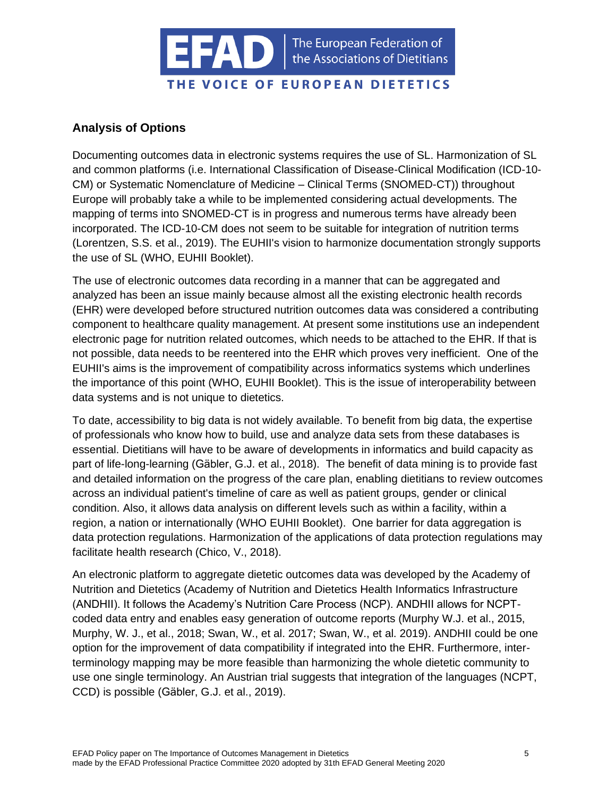

# <span id="page-4-0"></span>**Analysis of Options**

Documenting outcomes data in electronic systems requires the use of SL. Harmonization of SL and common platforms (i.e. International Classification of Disease-Clinical Modification (ICD-10- CM) or Systematic Nomenclature of Medicine – Clinical Terms (SNOMED-CT)) throughout Europe will probably take a while to be implemented considering actual developments. The mapping of terms into SNOMED-CT is in progress and numerous terms have already been incorporated. The ICD-10-CM does not seem to be suitable for integration of nutrition terms (Lorentzen, S.S. et al., 2019). The EUHII's vision to harmonize documentation strongly supports the use of SL (WHO, EUHII Booklet).

The use of electronic outcomes data recording in a manner that can be aggregated and analyzed has been an issue mainly because almost all the existing electronic health records (EHR) were developed before structured nutrition outcomes data was considered a contributing component to healthcare quality management. At present some institutions use an independent electronic page for nutrition related outcomes, which needs to be attached to the EHR. If that is not possible, data needs to be reentered into the EHR which proves very inefficient. One of the EUHII's aims is the improvement of compatibility across informatics systems which underlines the importance of this point (WHO, EUHII Booklet). This is the issue of interoperability between data systems and is not unique to dietetics.

To date, accessibility to big data is not widely available. To benefit from big data, the expertise of professionals who know how to build, use and analyze data sets from these databases is essential. Dietitians will have to be aware of developments in informatics and build capacity as part of life-long-learning (Gäbler, G.J. et al., 2018). The benefit of data mining is to provide fast and detailed information on the progress of the care plan, enabling dietitians to review outcomes across an individual patient's timeline of care as well as patient groups, gender or clinical condition. Also, it allows data analysis on different levels such as within a facility, within a region, a nation or internationally (WHO EUHII Booklet). One barrier for data aggregation is data protection regulations. Harmonization of the applications of data protection regulations may facilitate health research (Chico, V., 2018).

An electronic platform to aggregate dietetic outcomes data was developed by the Academy of Nutrition and Dietetics (Academy of Nutrition and Dietetics Health Informatics Infrastructure (ANDHII). It follows the Academy's Nutrition Care Process (NCP). ANDHII allows for NCPTcoded data entry and enables easy generation of outcome reports (Murphy W.J. et al., 2015, Murphy, W. J., et al., 2018; Swan, W., et al. 2017; Swan, W., et al. 2019). ANDHII could be one option for the improvement of data compatibility if integrated into the EHR. Furthermore, interterminology mapping may be more feasible than harmonizing the whole dietetic community to use one single terminology. An Austrian trial suggests that integration of the languages (NCPT, CCD) is possible (Gäbler, G.J. et al., 2019).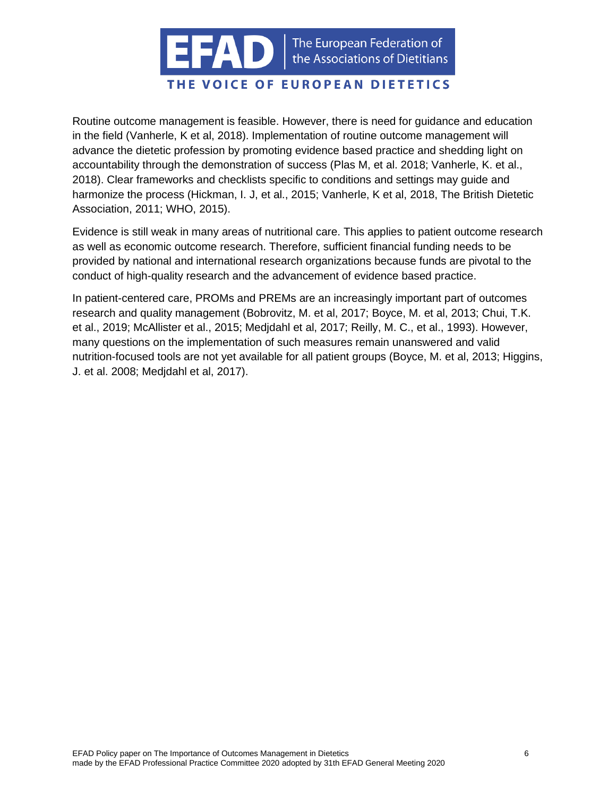

# THE VOICE OF EUROPEAN DIETETICS

Routine outcome management is feasible. However, there is need for guidance and education in the field (Vanherle, K et al, 2018). Implementation of routine outcome management will advance the dietetic profession by promoting evidence based practice and shedding light on accountability through the demonstration of success (Plas M, et al. 2018; Vanherle, K. et al., 2018). Clear frameworks and checklists specific to conditions and settings may guide and harmonize the process (Hickman, I. J, et al., 2015; Vanherle, K et al, 2018, The British Dietetic Association, 2011; WHO, 2015).

Evidence is still weak in many areas of nutritional care. This applies to patient outcome research as well as economic outcome research. Therefore, sufficient financial funding needs to be provided by national and international research organizations because funds are pivotal to the conduct of high-quality research and the advancement of evidence based practice.

In patient-centered care, PROMs and PREMs are an increasingly important part of outcomes research and quality management (Bobrovitz, M. et al, 2017; Boyce, M. et al, 2013; Chui, T.K. et al., 2019; McAllister et al., 2015; Medjdahl et al, 2017; Reilly, M. C., et al., 1993). However, many questions on the implementation of such measures remain unanswered and valid nutrition-focused tools are not yet available for all patient groups (Boyce, M. et al, 2013; Higgins, J. et al. 2008; Medjdahl et al, 2017).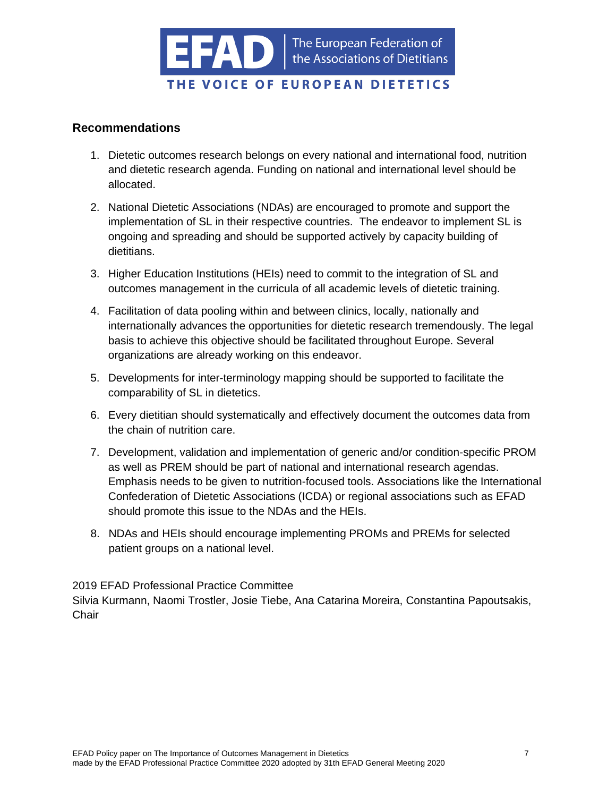

### <span id="page-6-0"></span>**Recommendations**

- 1. Dietetic outcomes research belongs on every national and international food, nutrition and dietetic research agenda. Funding on national and international level should be allocated.
- 2. National Dietetic Associations (NDAs) are encouraged to promote and support the implementation of SL in their respective countries. The endeavor to implement SL is ongoing and spreading and should be supported actively by capacity building of dietitians.
- 3. Higher Education Institutions (HEIs) need to commit to the integration of SL and outcomes management in the curricula of all academic levels of dietetic training.
- 4. Facilitation of data pooling within and between clinics, locally, nationally and internationally advances the opportunities for dietetic research tremendously. The legal basis to achieve this objective should be facilitated throughout Europe. Several organizations are already working on this endeavor.
- 5. Developments for inter-terminology mapping should be supported to facilitate the comparability of SL in dietetics.
- 6. Every dietitian should systematically and effectively document the outcomes data from the chain of nutrition care.
- 7. Development, validation and implementation of generic and/or condition-specific PROM as well as PREM should be part of national and international research agendas. Emphasis needs to be given to nutrition-focused tools. Associations like the International Confederation of Dietetic Associations (ICDA) or regional associations such as EFAD should promote this issue to the NDAs and the HEIs.
- 8. NDAs and HEIs should encourage implementing PROMs and PREMs for selected patient groups on a national level.

2019 EFAD Professional Practice Committee

Silvia Kurmann, Naomi Trostler, Josie Tiebe, Ana Catarina Moreira, Constantina Papoutsakis, **Chair**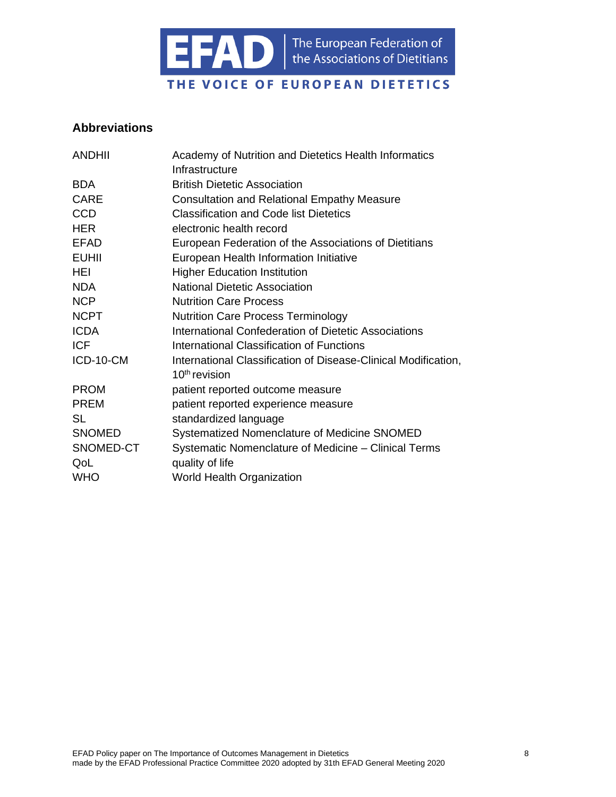

### <span id="page-7-0"></span>**Abbreviations**

| <b>ANDHII</b> | Academy of Nutrition and Dietetics Health Informatics          |
|---------------|----------------------------------------------------------------|
|               | Infrastructure                                                 |
| <b>BDA</b>    | <b>British Dietetic Association</b>                            |
| <b>CARE</b>   | <b>Consultation and Relational Empathy Measure</b>             |
| <b>CCD</b>    | <b>Classification and Code list Dietetics</b>                  |
| <b>HER</b>    | electronic health record                                       |
| <b>EFAD</b>   | European Federation of the Associations of Dietitians          |
| <b>EUHII</b>  | European Health Information Initiative                         |
| HEI           | <b>Higher Education Institution</b>                            |
| <b>NDA</b>    | <b>National Dietetic Association</b>                           |
| <b>NCP</b>    | <b>Nutrition Care Process</b>                                  |
| <b>NCPT</b>   | <b>Nutrition Care Process Terminology</b>                      |
| <b>ICDA</b>   | International Confederation of Dietetic Associations           |
| <b>ICF</b>    | International Classification of Functions                      |
| ICD-10-CM     | International Classification of Disease-Clinical Modification, |
|               | $10th$ revision                                                |
| <b>PROM</b>   | patient reported outcome measure                               |
| <b>PREM</b>   | patient reported experience measure                            |
| SL            | standardized language                                          |
| <b>SNOMED</b> | Systematized Nomenclature of Medicine SNOMED                   |
| SNOMED-CT     | Systematic Nomenclature of Medicine – Clinical Terms           |
| QoL           | quality of life                                                |
| <b>WHO</b>    | <b>World Health Organization</b>                               |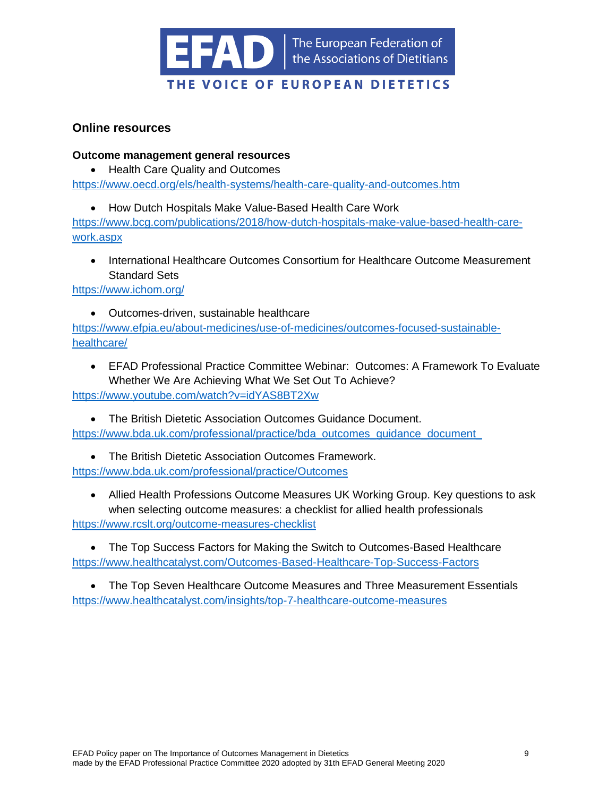

### <span id="page-8-0"></span>**Online resources**

#### <span id="page-8-1"></span>**Outcome management general resources**

- Health Care Quality and Outcomes <https://www.oecd.org/els/health-systems/health-care-quality-and-outcomes.htm>
	- How Dutch Hospitals Make Value-Based Health Care Work

[https://www.bcg.com/publications/2018/how-dutch-hospitals-make-value-based-health-care](https://www.bcg.com/publications/2018/how-dutch-hospitals-make-value-based-health-care-work.aspx)[work.aspx](https://www.bcg.com/publications/2018/how-dutch-hospitals-make-value-based-health-care-work.aspx)

• International Healthcare Outcomes Consortium for Healthcare Outcome Measurement Standard Sets

<https://www.ichom.org/>

• Outcomes-driven, sustainable healthcare

[https://www.efpia.eu/about-medicines/use-of-medicines/outcomes-focused-sustainable](https://www.efpia.eu/about-medicines/use-of-medicines/outcomes-focused-sustainable-healthcare/)[healthcare/](https://www.efpia.eu/about-medicines/use-of-medicines/outcomes-focused-sustainable-healthcare/)

• EFAD Professional Practice Committee Webinar: Outcomes: A Framework To Evaluate Whether We Are Achieving What We Set Out To Achieve?

<https://www.youtube.com/watch?v=idYAS8BT2Xw>

• The British Dietetic Association Outcomes Guidance Document. https://www.bda.uk.com/professional/practice/bda\_outcomes\_guidance\_document

- The British Dietetic Association Outcomes Framework. <https://www.bda.uk.com/professional/practice/Outcomes>
- Allied Health Professions Outcome Measures UK Working Group. Key questions to ask when selecting outcome measures: a checklist for allied health professionals <https://www.rcslt.org/outcome-measures-checklist>

• The Top Success Factors for Making the Switch to Outcomes-Based Healthcare <https://www.healthcatalyst.com/Outcomes-Based-Healthcare-Top-Success-Factors>

• The Top Seven Healthcare Outcome Measures and Three Measurement Essentials <https://www.healthcatalyst.com/insights/top-7-healthcare-outcome-measures>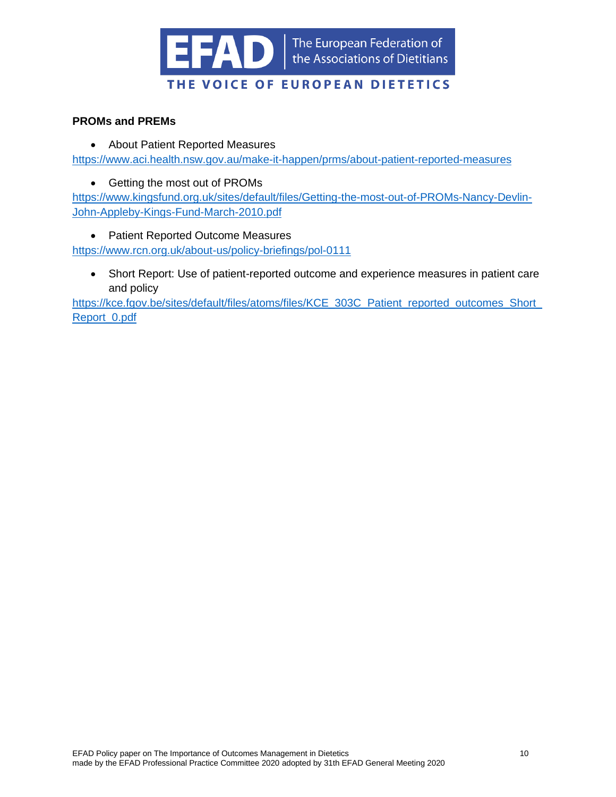

### <span id="page-9-0"></span>**PROMs and PREMs**

- About Patient Reported Measures <https://www.aci.health.nsw.gov.au/make-it-happen/prms/about-patient-reported-measures>
	- Getting the most out of PROMs

[https://www.kingsfund.org.uk/sites/default/files/Getting-the-most-out-of-PROMs-Nancy-Devlin-](https://www.kingsfund.org.uk/sites/default/files/Getting-the-most-out-of-PROMs-Nancy-Devlin-John-Appleby-Kings-Fund-March-2010.pdf)[John-Appleby-Kings-Fund-March-2010.pdf](https://www.kingsfund.org.uk/sites/default/files/Getting-the-most-out-of-PROMs-Nancy-Devlin-John-Appleby-Kings-Fund-March-2010.pdf)

• Patient Reported Outcome Measures

<https://www.rcn.org.uk/about-us/policy-briefings/pol-0111>

• Short Report: Use of patient-reported outcome and experience measures in patient care and policy

https://kce.fgov.be/sites/default/files/atoms/files/KCE\_303C\_Patient\_reported\_outcomes\_Short [Report\\_0.pdf](https://kce.fgov.be/sites/default/files/atoms/files/KCE_303C_Patient_reported_outcomes_Short_Report_0.pdf)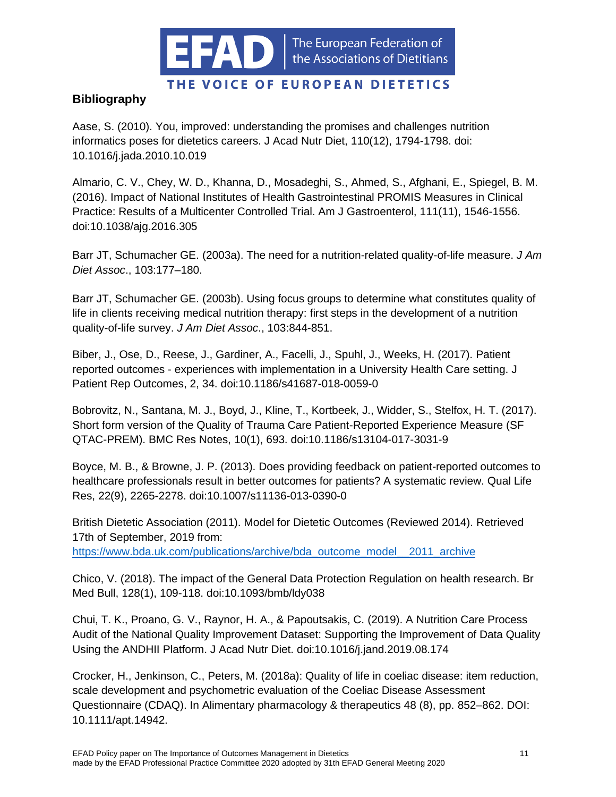

# THE VOICE OF EUROPEAN DIETETICS

# <span id="page-10-0"></span>**Bibliography**

Aase, S. (2010). You, improved: understanding the promises and challenges nutrition informatics poses for dietetics careers. J Acad Nutr Diet, 110(12), 1794-1798. doi: 10.1016/j.jada.2010.10.019

Almario, C. V., Chey, W. D., Khanna, D., Mosadeghi, S., Ahmed, S., Afghani, E., Spiegel, B. M. (2016). Impact of National Institutes of Health Gastrointestinal PROMIS Measures in Clinical Practice: Results of a Multicenter Controlled Trial. Am J Gastroenterol, 111(11), 1546-1556. doi:10.1038/ajg.2016.305

Barr JT, Schumacher GE. (2003a). The need for a nutrition-related quality-of-life measure. *J Am Diet Assoc*., 103:177–180.

Barr JT, Schumacher GE. (2003b). Using focus groups to determine what constitutes quality of life in clients receiving medical nutrition therapy: first steps in the development of a nutrition quality-of-life survey. *J Am Diet Assoc*., 103:844-851.

Biber, J., Ose, D., Reese, J., Gardiner, A., Facelli, J., Spuhl, J., Weeks, H. (2017). Patient reported outcomes - experiences with implementation in a University Health Care setting. J Patient Rep Outcomes, 2, 34. doi:10.1186/s41687-018-0059-0

Bobrovitz, N., Santana, M. J., Boyd, J., Kline, T., Kortbeek, J., Widder, S., Stelfox, H. T. (2017). Short form version of the Quality of Trauma Care Patient-Reported Experience Measure (SF QTAC-PREM). BMC Res Notes, 10(1), 693. doi:10.1186/s13104-017-3031-9

Boyce, M. B., & Browne, J. P. (2013). Does providing feedback on patient-reported outcomes to healthcare professionals result in better outcomes for patients? A systematic review. Qual Life Res, 22(9), 2265-2278. doi:10.1007/s11136-013-0390-0

British Dietetic Association (2011). Model for Dietetic Outcomes (Reviewed 2014). Retrieved 17th of September, 2019 from: [https://www.bda.uk.com/publications/archive/bda\\_outcome\\_model\\_\\_2011\\_archive](https://www.bda.uk.com/publications/archive/bda_outcome_model__2011_archive)

Chico, V. (2018). The impact of the General Data Protection Regulation on health research. Br Med Bull, 128(1), 109-118. doi:10.1093/bmb/ldy038

Chui, T. K., Proano, G. V., Raynor, H. A., & Papoutsakis, C. (2019). A Nutrition Care Process Audit of the National Quality Improvement Dataset: Supporting the Improvement of Data Quality Using the ANDHII Platform. J Acad Nutr Diet. doi:10.1016/j.jand.2019.08.174

Crocker, H., Jenkinson, C., Peters, M. (2018a): Quality of life in coeliac disease: item reduction, scale development and psychometric evaluation of the Coeliac Disease Assessment Questionnaire (CDAQ). In Alimentary pharmacology & therapeutics 48 (8), pp. 852–862. DOI: 10.1111/apt.14942.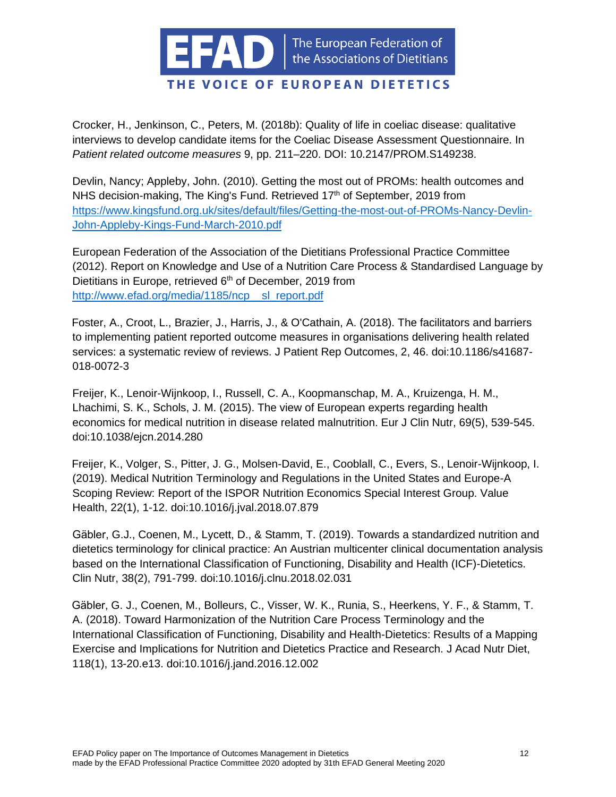

Crocker, H., Jenkinson, C., Peters, M. (2018b): Quality of life in coeliac disease: qualitative interviews to develop candidate items for the Coeliac Disease Assessment Questionnaire. In *Patient related outcome measures* 9, pp. 211–220. DOI: 10.2147/PROM.S149238.

Devlin, Nancy; Appleby, John. (2010). Getting the most out of PROMs: health outcomes and NHS decision-making, The King's Fund. Retrieved 17<sup>th</sup> of September, 2019 from [https://www.kingsfund.org.uk/sites/default/files/Getting-the-most-out-of-PROMs-Nancy-Devlin-](https://www.kingsfund.org.uk/sites/default/files/Getting-the-most-out-of-PROMs-Nancy-Devlin-John-Appleby-Kings-Fund-March-2010.pdf)[John-Appleby-Kings-Fund-March-2010.pdf](https://www.kingsfund.org.uk/sites/default/files/Getting-the-most-out-of-PROMs-Nancy-Devlin-John-Appleby-Kings-Fund-March-2010.pdf)

European Federation of the Association of the Dietitians Professional Practice Committee (2012). Report on Knowledge and Use of a Nutrition Care Process & Standardised Language by Dietitians in Europe, retrieved 6<sup>th</sup> of December, 2019 from [http://www.efad.org/media/1185/ncp\\_\\_sl\\_report.pdf](http://www.efad.org/media/1185/ncp__sl_report.pdf)

Foster, A., Croot, L., Brazier, J., Harris, J., & O'Cathain, A. (2018). The facilitators and barriers to implementing patient reported outcome measures in organisations delivering health related services: a systematic review of reviews. J Patient Rep Outcomes, 2, 46. doi:10.1186/s41687- 018-0072-3

Freijer, K., Lenoir-Wijnkoop, I., Russell, C. A., Koopmanschap, M. A., Kruizenga, H. M., Lhachimi, S. K., Schols, J. M. (2015). The view of European experts regarding health economics for medical nutrition in disease related malnutrition. Eur J Clin Nutr, 69(5), 539-545. doi:10.1038/ejcn.2014.280

Freijer, K., Volger, S., Pitter, J. G., Molsen-David, E., Cooblall, C., Evers, S., Lenoir-Wijnkoop, I. (2019). Medical Nutrition Terminology and Regulations in the United States and Europe-A Scoping Review: Report of the ISPOR Nutrition Economics Special Interest Group. Value Health, 22(1), 1-12. doi:10.1016/j.jval.2018.07.879

Gäbler, G.J., Coenen, M., Lycett, D., & Stamm, T. (2019). Towards a standardized nutrition and dietetics terminology for clinical practice: An Austrian multicenter clinical documentation analysis based on the International Classification of Functioning, Disability and Health (ICF)-Dietetics. Clin Nutr, 38(2), 791-799. doi:10.1016/j.clnu.2018.02.031

Gäbler, G. J., Coenen, M., Bolleurs, C., Visser, W. K., Runia, S., Heerkens, Y. F., & Stamm, T. A. (2018). Toward Harmonization of the Nutrition Care Process Terminology and the International Classification of Functioning, Disability and Health-Dietetics: Results of a Mapping Exercise and Implications for Nutrition and Dietetics Practice and Research. J Acad Nutr Diet, 118(1), 13-20.e13. doi:10.1016/j.jand.2016.12.002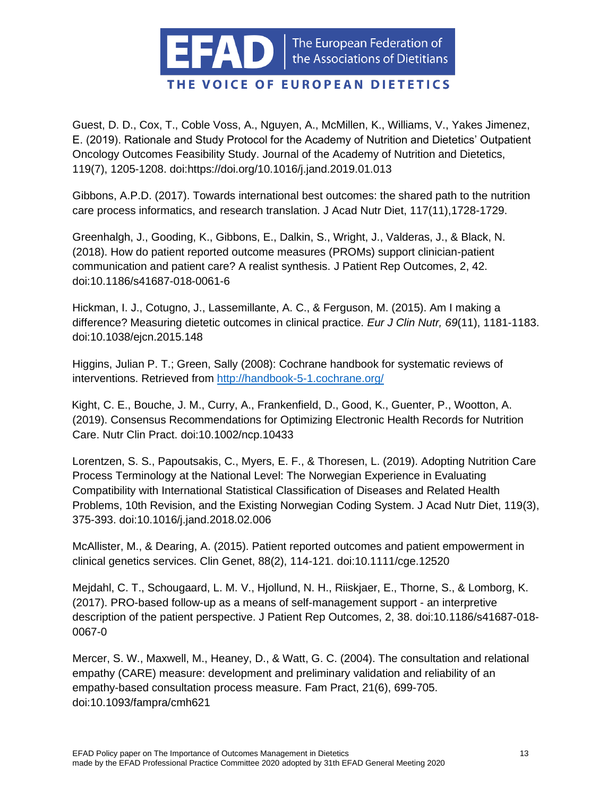

Guest, D. D., Cox, T., Coble Voss, A., Nguyen, A., McMillen, K., Williams, V., Yakes Jimenez, E. (2019). Rationale and Study Protocol for the Academy of Nutrition and Dietetics' Outpatient Oncology Outcomes Feasibility Study. Journal of the Academy of Nutrition and Dietetics, 119(7), 1205-1208. doi[:https://doi.org/10.1016/j.jand.2019.01.013](https://doi.org/10.1016/j.jand.2019.01.013)

Gibbons, A.P.D. (2017). Towards international best outcomes: the shared path to the nutrition care process informatics, and research translation. J Acad Nutr Diet, 117(11),1728-1729.

Greenhalgh, J., Gooding, K., Gibbons, E., Dalkin, S., Wright, J., Valderas, J., & Black, N. (2018). How do patient reported outcome measures (PROMs) support clinician-patient communication and patient care? A realist synthesis. J Patient Rep Outcomes, 2, 42. doi:10.1186/s41687-018-0061-6

Hickman, I. J., Cotugno, J., Lassemillante, A. C., & Ferguson, M. (2015). Am I making a difference? Measuring dietetic outcomes in clinical practice. *Eur J Clin Nutr, 69*(11), 1181-1183. doi:10.1038/ejcn.2015.148

Higgins, Julian P. T.; Green, Sally (2008): Cochrane handbook for systematic reviews of interventions. Retrieved from<http://handbook-5-1.cochrane.org/>

Kight, C. E., Bouche, J. M., Curry, A., Frankenfield, D., Good, K., Guenter, P., Wootton, A. (2019). Consensus Recommendations for Optimizing Electronic Health Records for Nutrition Care. Nutr Clin Pract. doi:10.1002/ncp.10433

Lorentzen, S. S., Papoutsakis, C., Myers, E. F., & Thoresen, L. (2019). Adopting Nutrition Care Process Terminology at the National Level: The Norwegian Experience in Evaluating Compatibility with International Statistical Classification of Diseases and Related Health Problems, 10th Revision, and the Existing Norwegian Coding System. J Acad Nutr Diet, 119(3), 375-393. doi:10.1016/j.jand.2018.02.006

McAllister, M., & Dearing, A. (2015). Patient reported outcomes and patient empowerment in clinical genetics services. Clin Genet, 88(2), 114-121. doi:10.1111/cge.12520

Mejdahl, C. T., Schougaard, L. M. V., Hjollund, N. H., Riiskjaer, E., Thorne, S., & Lomborg, K. (2017). PRO-based follow-up as a means of self-management support - an interpretive description of the patient perspective. J Patient Rep Outcomes, 2, 38. doi:10.1186/s41687-018- 0067-0

Mercer, S. W., Maxwell, M., Heaney, D., & Watt, G. C. (2004). The consultation and relational empathy (CARE) measure: development and preliminary validation and reliability of an empathy-based consultation process measure. Fam Pract, 21(6), 699-705. doi:10.1093/fampra/cmh621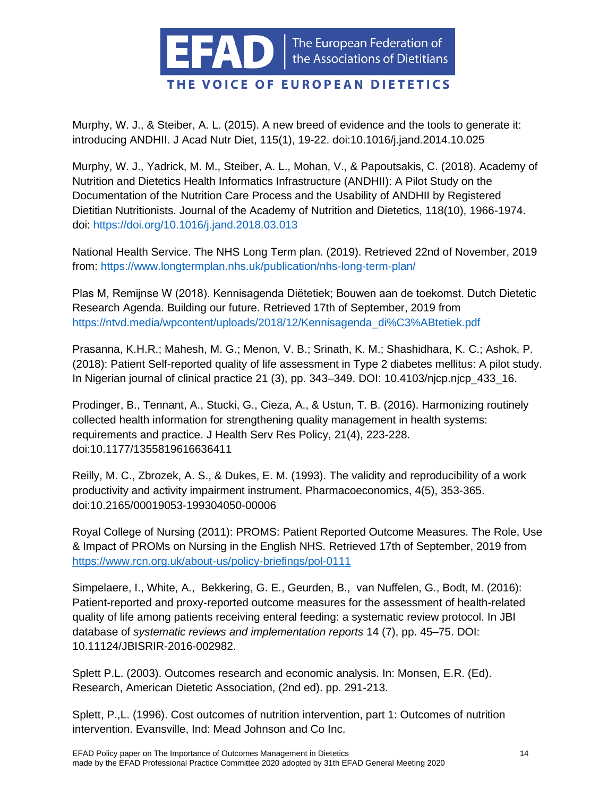

Murphy, W. J., & Steiber, A. L. (2015). A new breed of evidence and the tools to generate it: introducing ANDHII. J Acad Nutr Diet, 115(1), 19-22. doi:10.1016/j.jand.2014.10.025

Murphy, W. J., Yadrick, M. M., Steiber, A. L., Mohan, V., & Papoutsakis, C. (2018). Academy of Nutrition and Dietetics Health Informatics Infrastructure (ANDHII): A Pilot Study on the Documentation of the Nutrition Care Process and the Usability of ANDHII by Registered Dietitian Nutritionists. Journal of the Academy of Nutrition and Dietetics, 118(10), 1966-1974. doi: https://doi.org/10.1016/j.jand.2018.03.013

National Health Service. The NHS Long Term plan. (2019). Retrieved 22nd of November, 2019 from:<https://www.longtermplan.nhs.uk/publication/nhs-long-term-plan/>

Plas M, Remijnse W (2018). Kennisagenda Diëtetiek; Bouwen aan de toekomst. Dutch Dietetic Research Agenda. Building our future. Retrieved 17th of September, 2019 from https://ntvd.media/wpcontent/uploads/2018/12/Kennisagenda\_di%C3%ABtetiek.pdf

Prasanna, K.H.R.; Mahesh, M. G.; Menon, V. B.; Srinath, K. M.; Shashidhara, K. C.; Ashok, P. (2018): Patient Self-reported quality of life assessment in Type 2 diabetes mellitus: A pilot study. In Nigerian journal of clinical practice 21 (3), pp. 343–349. DOI: 10.4103/njcp.njcp\_433\_16.

Prodinger, B., Tennant, A., Stucki, G., Cieza, A., & Ustun, T. B. (2016). Harmonizing routinely collected health information for strengthening quality management in health systems: requirements and practice. J Health Serv Res Policy, 21(4), 223-228. doi:10.1177/1355819616636411

Reilly, M. C., Zbrozek, A. S., & Dukes, E. M. (1993). The validity and reproducibility of a work productivity and activity impairment instrument. Pharmacoeconomics, 4(5), 353-365. doi:10.2165/00019053-199304050-00006

Royal College of Nursing (2011): PROMS: Patient Reported Outcome Measures. The Role, Use & Impact of PROMs on Nursing in the English NHS. Retrieved 17th of September, 2019 fro[m](https://www.rcn.org.uk/about-us/policy-briefings/pol-0111) <https://www.rcn.org.uk/about-us/policy-briefings/pol-0111>

Simpelaere, I., White, A., Bekkering, G. E., Geurden, B., van Nuffelen, G., Bodt, M. (2016): Patient-reported and proxy-reported outcome measures for the assessment of health-related quality of life among patients receiving enteral feeding: a systematic review protocol. In JBI database of *systematic reviews and implementation reports* 14 (7), pp. 45–75. DOI: 10.11124/JBISRIR-2016-002982.

Splett P.L. (2003). Outcomes research and economic analysis. In: Monsen, E.R. (Ed). Research, American Dietetic Association, (2nd ed). pp. 291-213.

Splett, P.,L. (1996). Cost outcomes of nutrition intervention, part 1: Outcomes of nutrition intervention. Evansville, Ind: Mead Johnson and Co Inc.